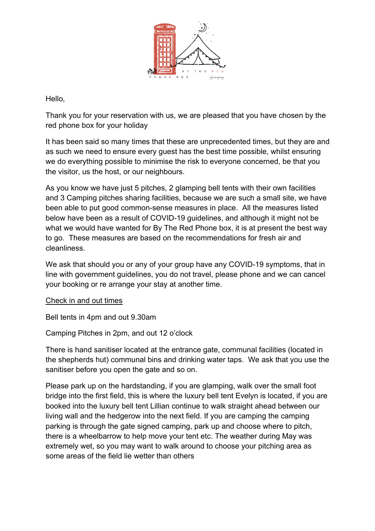

Hello,

Thank you for your reservation with us, we are pleased that you have chosen by the red phone box for your holiday

It has been said so many times that these are unprecedented times, but they are and as such we need to ensure every guest has the best time possible, whilst ensuring we do everything possible to minimise the risk to everyone concerned, be that you the visitor, us the host, or our neighbours.

As you know we have just 5 pitches, 2 glamping bell tents with their own facilities and 3 Camping pitches sharing facilities, because we are such a small site, we have been able to put good common-sense measures in place. All the measures listed below have been as a result of COVID-19 guidelines, and although it might not be what we would have wanted for By The Red Phone box, it is at present the best way to go. These measures are based on the recommendations for fresh air and cleanliness.

We ask that should you or any of your group have any COVID-19 symptoms, that in line with government guidelines, you do not travel, please phone and we can cancel your booking or re arrange your stay at another time.

## Check in and out times

Bell tents in 4pm and out 9.30am

Camping Pitches in 2pm, and out 12 o'clock

There is hand sanitiser located at the entrance gate, communal facilities (located in the shepherds hut) communal bins and drinking water taps. We ask that you use the sanitiser before you open the gate and so on.

Please park up on the hardstanding, if you are glamping, walk over the small foot bridge into the first field, this is where the luxury bell tent Evelyn is located, if you are booked into the luxury bell tent Lillian continue to walk straight ahead between our living wall and the hedgerow into the next field. If you are camping the camping parking is through the gate signed camping, park up and choose where to pitch, there is a wheelbarrow to help move your tent etc. The weather during May was extremely wet, so you may want to walk around to choose your pitching area as some areas of the field lie wetter than others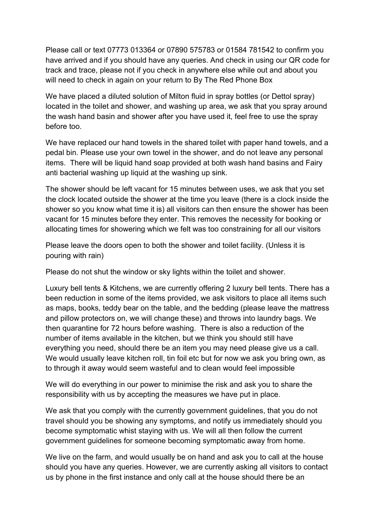Please call or text 07773 013364 or 07890 575783 or 01584 781542 to confirm you have arrived and if you should have any queries. And check in using our QR code for track and trace, please not if you check in anywhere else while out and about you will need to check in again on your return to By The Red Phone Box

We have placed a diluted solution of Milton fluid in spray bottles (or Dettol spray) located in the toilet and shower, and washing up area, we ask that you spray around the wash hand basin and shower after you have used it, feel free to use the spray before too.

We have replaced our hand towels in the shared toilet with paper hand towels, and a pedal bin. Please use your own towel in the shower, and do not leave any personal items. There will be liquid hand soap provided at both wash hand basins and Fairy anti bacterial washing up liquid at the washing up sink.

The shower should be left vacant for 15 minutes between uses, we ask that you set the clock located outside the shower at the time you leave (there is a clock inside the shower so you know what time it is) all visitors can then ensure the shower has been vacant for 15 minutes before they enter. This removes the necessity for booking or allocating times for showering which we felt was too constraining for all our visitors

Please leave the doors open to both the shower and toilet facility. (Unless it is pouring with rain)

Please do not shut the window or sky lights within the toilet and shower.

Luxury bell tents & Kitchens, we are currently offering 2 luxury bell tents. There has a been reduction in some of the items provided, we ask visitors to place all items such as maps, books, teddy bear on the table, and the bedding (please leave the mattress and pillow protectors on, we will change these) and throws into laundry bags. We then quarantine for 72 hours before washing. There is also a reduction of the number of items available in the kitchen, but we think you should still have everything you need, should there be an item you may need please give us a call. We would usually leave kitchen roll, tin foil etc but for now we ask you bring own, as to through it away would seem wasteful and to clean would feel impossible

We will do everything in our power to minimise the risk and ask you to share the responsibility with us by accepting the measures we have put in place.

We ask that you comply with the currently government guidelines, that you do not travel should you be showing any symptoms, and notify us immediately should you become symptomatic whist staying with us. We will all then follow the current government guidelines for someone becoming symptomatic away from home.

We live on the farm, and would usually be on hand and ask you to call at the house should you have any queries. However, we are currently asking all visitors to contact us by phone in the first instance and only call at the house should there be an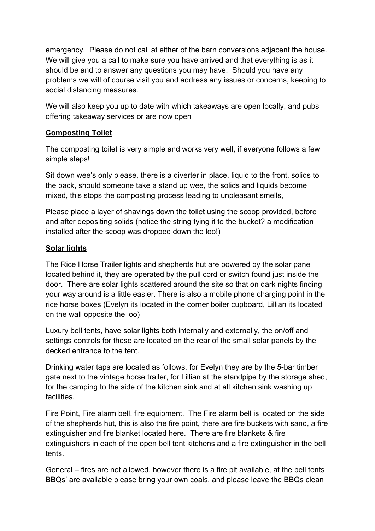emergency. Please do not call at either of the barn conversions adjacent the house. We will give you a call to make sure you have arrived and that everything is as it should be and to answer any questions you may have. Should you have any problems we will of course visit you and address any issues or concerns, keeping to social distancing measures.

We will also keep you up to date with which takeaways are open locally, and pubs offering takeaway services or are now open

## **Composting Toilet**

The composting toilet is very simple and works very well, if everyone follows a few simple steps!

Sit down wee's only please, there is a diverter in place, liquid to the front, solids to the back, should someone take a stand up wee, the solids and liquids become mixed, this stops the composting process leading to unpleasant smells,

Please place a layer of shavings down the toilet using the scoop provided, before and after depositing solids (notice the string tying it to the bucket? a modification installed after the scoop was dropped down the loo!)

# **Solar lights**

The Rice Horse Trailer lights and shepherds hut are powered by the solar panel located behind it, they are operated by the pull cord or switch found just inside the door. There are solar lights scattered around the site so that on dark nights finding your way around is a little easier. There is also a mobile phone charging point in the rice horse boxes (Evelyn its located in the corner boiler cupboard, Lillian its located on the wall opposite the loo)

Luxury bell tents, have solar lights both internally and externally, the on/off and settings controls for these are located on the rear of the small solar panels by the decked entrance to the tent.

Drinking water taps are located as follows, for Evelyn they are by the 5-bar timber gate next to the vintage horse trailer, for Lillian at the standpipe by the storage shed, for the camping to the side of the kitchen sink and at all kitchen sink washing up facilities.

Fire Point, Fire alarm bell, fire equipment. The Fire alarm bell is located on the side of the shepherds hut, this is also the fire point, there are fire buckets with sand, a fire extinguisher and fire blanket located here. There are fire blankets & fire extinguishers in each of the open bell tent kitchens and a fire extinguisher in the bell tents.

General – fires are not allowed, however there is a fire pit available, at the bell tents BBQs' are available please bring your own coals, and please leave the BBQs clean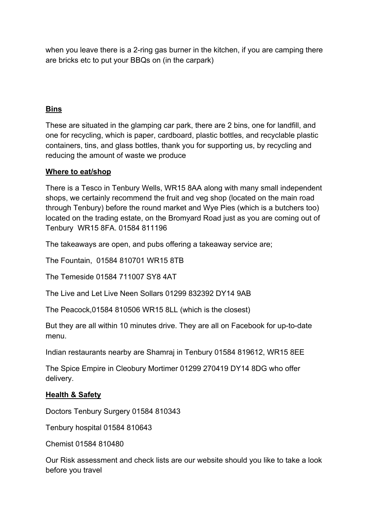when you leave there is a 2-ring gas burner in the kitchen, if you are camping there are bricks etc to put your BBQs on (in the carpark)

# **Bins**

These are situated in the glamping car park, there are 2 bins, one for landfill, and one for recycling, which is paper, cardboard, plastic bottles, and recyclable plastic containers, tins, and glass bottles, thank you for supporting us, by recycling and reducing the amount of waste we produce

## **Where to eat/shop**

There is a Tesco in Tenbury Wells, WR15 8AA along with many small independent shops, we certainly recommend the fruit and veg shop (located on the main road through Tenbury) before the round market and Wye Pies (which is a butchers too) located on the trading estate, on the Bromyard Road just as you are coming out of Tenbury WR15 8FA. 01584 811196

The takeaways are open, and pubs offering a takeaway service are;

The Fountain, 01584 810701 WR15 8TB

The Temeside 01584 711007 SY8 4AT

The Live and Let Live Neen Sollars 01299 832392 DY14 9AB

The Peacock,01584 810506 WR15 8LL (which is the closest)

But they are all within 10 minutes drive. They are all on Facebook for up-to-date menu.

Indian restaurants nearby are Shamraj in Tenbury 01584 819612, WR15 8EE

The Spice Empire in Cleobury Mortimer 01299 270419 DY14 8DG who offer delivery.

## **Health & Safety**

Doctors Tenbury Surgery 01584 810343

Tenbury hospital 01584 810643

Chemist 01584 810480

Our Risk assessment and check lists are our website should you like to take a look before you travel